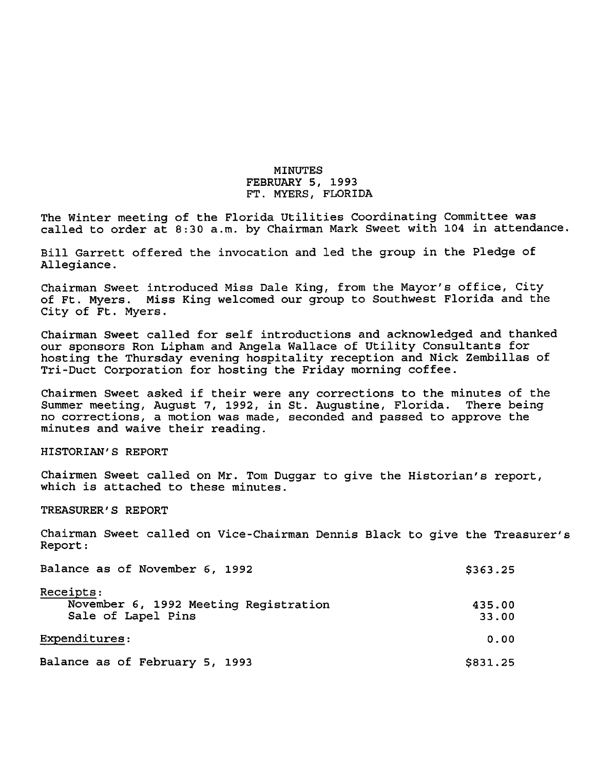# MINUTES FEBRUARY 5, 1993 FT. MYERS, FLORIDA

The Winter meeting of the Florida Utilities Coordinating Committee was called to order at 8:30 a.m. by Chairman Mark Sweet with 104 in attendance.

Bill Garrett offered the invocation and led the group in the Pledge of Allegiance.

Chairman Sweet introduced Miss Dale King, from the Mayor's office. City of Ft. Myers. Miss King welcomed our group to Southwest Florida and the City of Ft. Myers.

Chairman Sweet called for self introductions and acknowledged and thanked our sponsors Ron Lipham and Angela Wallace of Utility Consultants for hosting the Thursday evening hospitality reception and Nick Zembillas of Tri-Duct Corporation for hosting the Friday morning coffee.

Chairmen Sweet asked if their were any corrections to the minutes of the Summer meeting, August 7, 1992, in St. Augustine, Florida. There being no corrections, a motion was made, seconded and passed to approve the minutes and waive their reading.

HISTORIAN'S REPORT

Chairmen Sweet called on Mr. Tom Duggar to give the Historian's report, which is attached to these minutes.

TREASURER'S REPORT

Chairman Sweet called on Vice-Chairman Dennis Black to give the Treasurer's Report:

| Balance as of November 6, 1992                                           | \$363.25        |
|--------------------------------------------------------------------------|-----------------|
| Receipts:<br>November 6, 1992 Meeting Registration<br>Sale of Lapel Pins | 435.00<br>33.00 |
| Expenditures:                                                            | 0.00            |
| Balance as of February 5, 1993                                           | \$831.25        |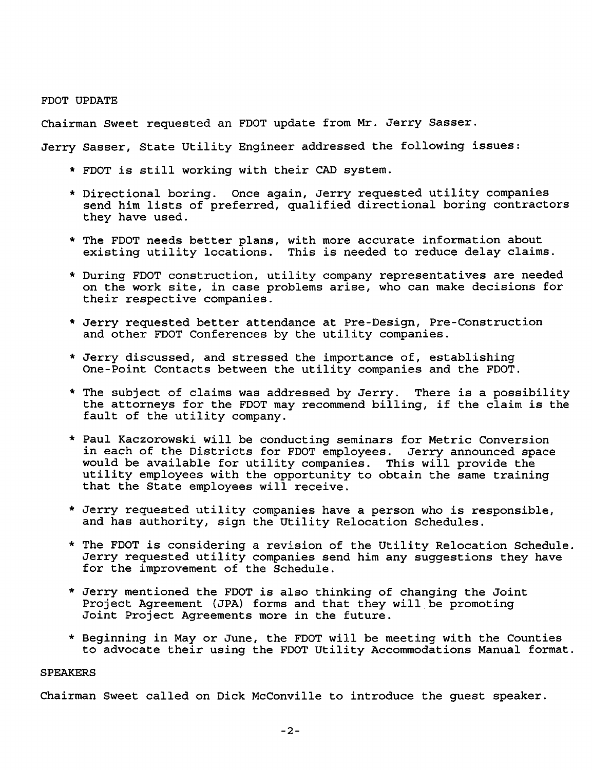#### FDOT UPDATE

Chairman Sweet requested an FDOT update from Mr. Jerry Sasser.

Jerry Sasser, State Utility Engineer addressed the following issues:

- \* FDOT is still working with their CAD system.
- \* Directional boring. Once again, Jerry requested utility companies send him lists of preferred, qualified directional boring contractors they have used.
- \* The FDOT needs better plans, with more accurate information about existing utility locations. This is needed to reduce delay claims.
- \* During FDOT construction, utility company representatives are needed on the work site, in case problems arise, who can make decisions for their respective companies.
- \* Jerry requested better attendance at Pre-Design, Pre-Construction and other FDOT Conferences by the utility companies.
- \* Jerry discussed, and stressed the importance of, establishing One-Point Contacts between the utility companies and the FDOT.
- \* The subject of claims was addressed by Jerry. There is a possibility the attorneys for the FDOT may recommend billing, if the claim is the fault of the utility company.
- \* Paul Kaczorowski will be conducting seminars for Metric Conversion in each of the Districts for FDOT employees. Jerry announced space would be available for utility companies. This will provide the utility employees with the opportunity to obtain the same training that the State employees will receive.
- \* Jerry requested utility companies have a person who is responsible, and has authority, sign the Utility Relocation Schedules.
- \* The FDOT is considering a revision of the Utility Relocation Schedule. Jerry requested utility companies send him any suggestions they have for the improvement of the Schedule.
- \* Jerry mentioned the FDOT is also thinking of changing the Joint Project Agreement (JPA) forms and that they will be promoting Joint Project Agreements more in the future.
- \* Beginning in May or June, the FDOT will be meeting with the Counties to advocate their using the FDOT Utility Accommodations Manual format.

### SPEAKERS

Chairman Sweet called on Dick McConville to introduce the guest speaker.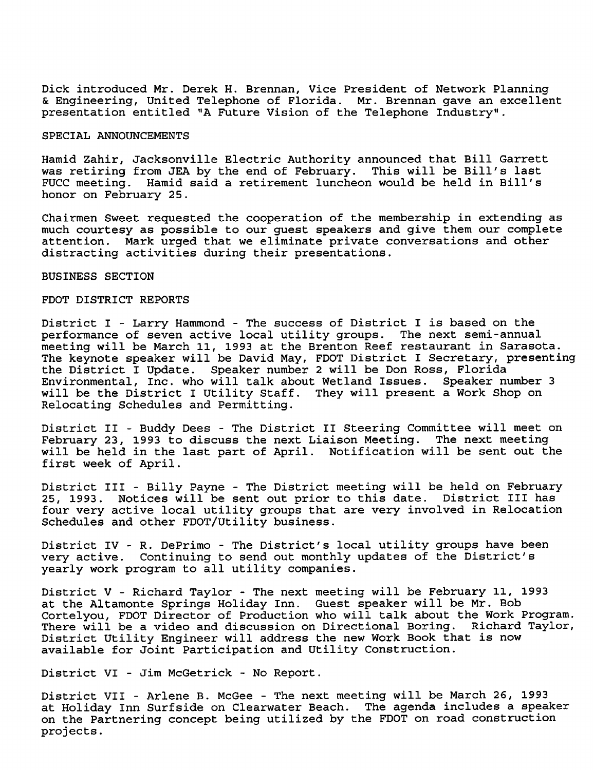Dick introduced Mr. Derek H. Brennan, Vice President of Network Planning Sc. Engineering, United Telephone of Florida. Mr. Brennan gave an excellent presentation entitled "A Future Vision of the Telephone Industry".

## SPECIAL ANNOUNCEMENTS

Hamid Zahir, Jacksonville Electric Authority announced that Bill Garrett was retiring from JEA by the end of February. This will be Bill's last FUCC meeting. Hamid said a retirement luncheon would be held in Bill's honor on February 25.

Chairmen Sweet requested the cooperation of the membership in extending as much courtesy as possible to our guest speakers and give them our complete attention. Mark urged that we eliminate private conversations and other distracting activities during their presentations.

BUSINESS SECTION

#### FDOT DISTRICT REPORTS

District I - Larry Hammond - The success of District I is based on the performance of seven active local utility groups. The next semi-annual meeting will be March 11, 1993 at the Brenton Reef restaurant in Sarasota. The keynote speaker will be David May, FDOT District I Secretary, presenting the District I Update. Speaker number 2 will be Don Ross, Florida Environmental, Inc. who will talk about Wetland Issues. Speaker number 3 will be the District I Utility Staff. Relocating Schedules and Permitting.

District II - Buddy Dees - The District II Steering Committee will meet on February 23, 1993 to discuss the next Liaison Meeting. The next meeting will be held in the last part of April. Notification will be sent out the first week of April.

District III - Billy Payne - The District meeting will be held on February 25, 1993. Notices will be sent out prior to this date. District III has four very active local utility groups that are very involved in Relocation Schedules and other FDOT/Utility business.

District IV - R. DePrimo - The District's local utility groups have been very active. Continuing to send out monthly updates of the District's yearly work program to all utility companies.

District V - Richard Taylor - The next meeting will be February 11, 1993 at the Altamonte Springs Holiday Inn. Guest speaker will be Mr. Bob Cortelyou, FDOT Director of Production who will talk about the Work Program. There will be a video and discussion on Directional Boring. Richard Taylor, District Utility Engineer will address the new Work Book that is now available for Joint Participation and Utility Construction.

District VI - Jim McGetrick - No Report.

District VII - Arlene B. McGee - The next meeting will be March 26, 1993 at Holiday Inn Surfside on Clearwater Beach. The agenda includes a speaker on the Partnering concept being utilized by the FDOT on road construction projects.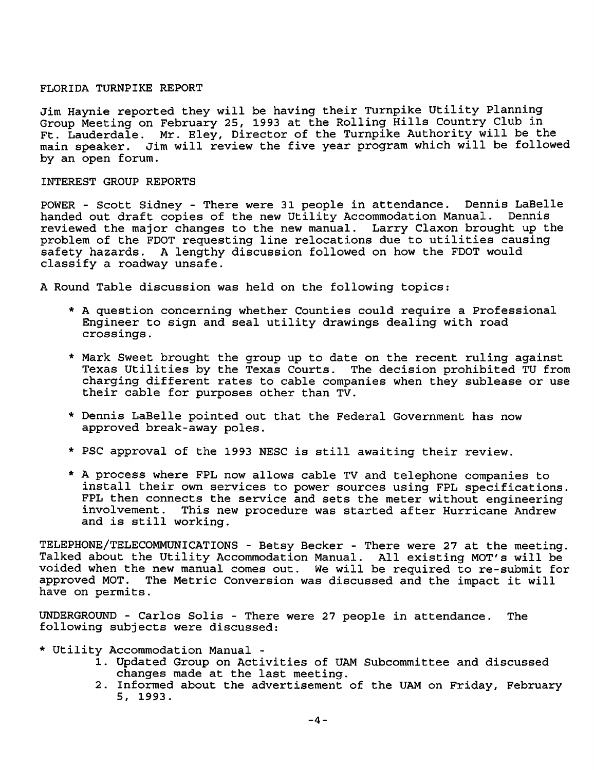### FLORIDA TURNPIKE REPORT

Jim Haynie reported they will be having their Turnpike Utility Planning Group Meeting on February 25, 1993 at the Rolling Hills Country Club in Ft. Lauderdale. Mr. Eley, Director of the Turnpike Authority will be the main speaker. Jim will review the five year program which will be followed by an open forum.

## INTEREST GROUP REPORTS

POWER - Scott Sidney - There were 31 people in attendance. Dennis LaBelle handed out draft copies of the new Utility Accommodation Manual. Dennis reviewed the major changes to the new manual. Larry Claxon brought up the problem of the FDOT requesting line relocations due to utilities causing safety hazards. A lengthy discussion followed on how the FDOT would classify a roadway unsafe.

A Round Table discussion was held on the following topics:

- \* A question concerning whether Counties could require a Professional Engineer to sign and seal utility drawings dealing with road crossings.
- \* Mark Sweet brought the group up to date on the recent ruling against Texas Utilities by the Texas Courts. The decision prohibited TU from charging different rates to cable companies when they sublease or use their cable for purposes other than TV.
- \* Dennis LaBelle pointed out that the Federal Government has now approved break-away poles.
- \* PSC approval of the 1993 NESC is still awaiting their review.
- \* A process where FPL now allows cable TV and telephone companies to install their own services to power sources using FPL specifications. FPL then connects the service and sets the meter without engineering involvement. This new procedure was started after Hurricane Andrew This new procedure was started after Hurricane Andrew and is still working.

telephone/telecommunications - Betsy Becker - There were 27 at the meeting. Talked about the Utility Accommodation Manual. All existing MOT'S will be voided when the new manual comes out. We will be required to re-submit for approved MOT. The Metric Conversion was discussed and the impact it will have on permits.

UNDERGROUND - Carlos Soils - There were 27 people in attendance. The following subjects were discussed:

- \* Utility Accommodation Manual
	- 1. Updated Group on Activities of UAM Subcommittee and discussed changes made at the last meeting.
	- 2. Informed about the advertisement of the UAM on Friday, February 5, 1993.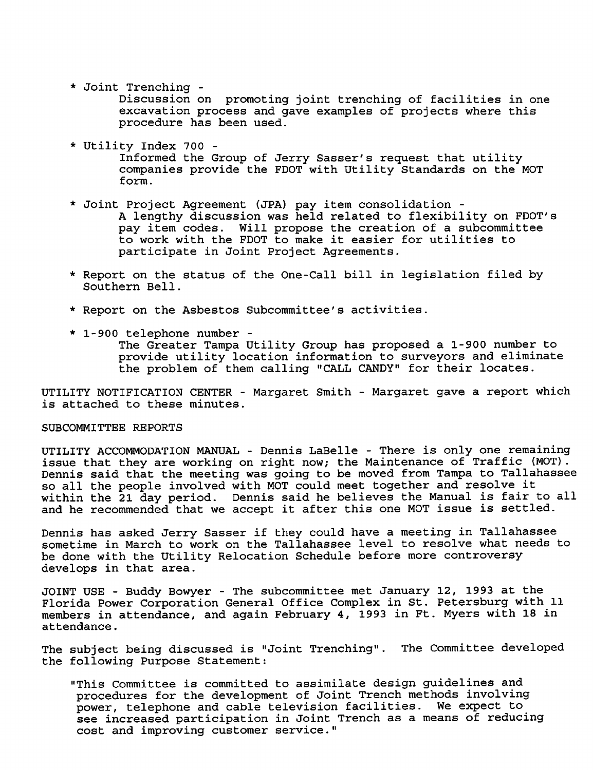\* Joint Trenching -

Discussion on promoting joint trenching of facilities in one excavation process and gave examples of projects where this procedure has been used.

\* Utility Index 700 -

Informed the Group of Jerry Sasser's request that utility companies provide the FDOT with Utility Standards on the MOT form.

- \* Joint Project Agreement (JPA) pay item consolidation A lengthy discussion was held related to flexibility on FDOT's pay item codes. Will propose the creation of a subcommittee to work with the FDOT to make it easier for utilities to participate in Joint Project Agreements.
- \* Report on the status of the One-Call bill in legislation filed by Southern Bell.
- \* Report on the Asbestos Subcommittee's activities.
- \* 1-900 telephone number The Greater Tampa Utility Group has proposed a 1-900 number to provide utility location information to surveyors and eliminate the problem of them calling "CALL CANDY" for their locates.

UTILITY NOTIFICATION CENTER - Margaret Smith - Margaret gave a report which is attached to these minutes.

## SUBCOMMITTEE REPORTS

UTILITY ACCOMMODATION MANUAL - Dennis LaBelle - There is only one remaining issue that they are working on right now; the Maintenance of Traffic (MOT). Dennis said that the meeting was going to be moved from Tampa to Tallahassee so all the people involved with MOT could meet together and resolve it within the 21 day period. Dennis said he believes the Manual is fair to all and he recommended that we accept it after this one MOT issue is settled.

Dennis has asked Jerry Sasser if they could have a meeting in Tallahassee sometime in March to work on the Tallahassee level to resolve what needs to be done with the Utility Relocation Schedule before more controversy develops in that area.

JOINT USE - Buddy Bowyer - The subcommittee met January 12, 1993 at the Florida Power Corporation General Office Complex in St. Petersburg with 11 members in attendance, and again February 4, 1993 in Ft. Myers with 18 in attendance.

The subject being discussed is "Joint Trenching". The Committee developed the following Purpose Statement:

"This Committee is committed to assimilate design guidelines and procedures for the development of Joint Trench methods involving power, telephone and cable television facilities. We expect to see increased participation in Joint Trench as a means of reducing cost and improving customer service."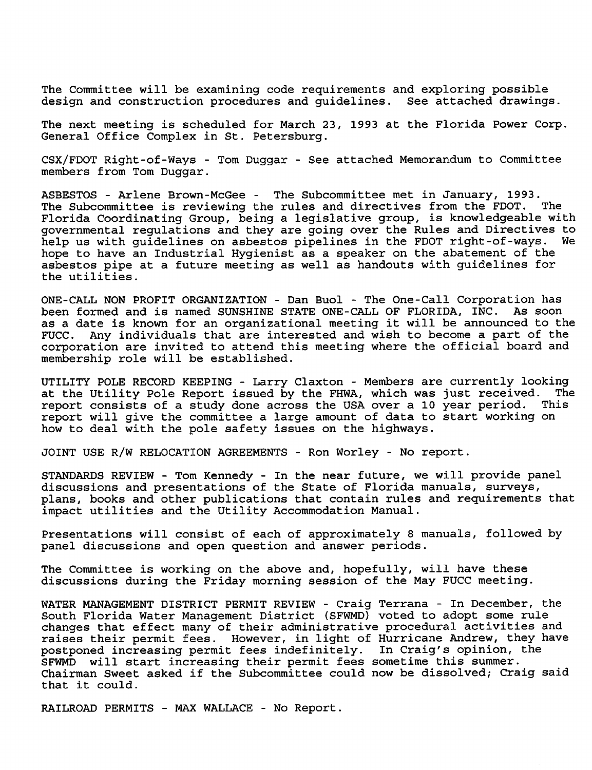The Committee will be examining code requirements and exploring possible design and construction procedures and guidelines. See attached drawings.

The next meeting is scheduled for March 23, 1993 at the Florida Power Corp. General Office Complex in St. Petersburg.

CSX/FDOT Right-of-Ways - Tom Duggar - See attached Memorandum to Committee members from Tom Duggar.

ASBESTOS - Arlene Brown-McGee - The Subcommittee met in January, 1993.<br>The Subcommittee is reviewing the rules and directives from the FDOT. The The Subcommittee is reviewing the rules and directives from the FDOT. Florida Coordinating Group, being a legislative group, is knowledgeable with governmental regulations and they are going over the Rules and Directives to help us with guidelines on asbestos pipelines in the FDOT right-of-ways. hope to have an Industrial Hygienist as a speaker on the abatement of the asbestos pipe at a future meeting as well as handouts with guidelines for the utilities.

ONE-CALL NON PROFIT ORGANIZATION - Dan Buol - The One-Call Corporation has been formed and is named SUNSHINE STATE ONE-CALL OF FLORIDA, INC. As soon as a date is known for an organizational meeting it will be announced to the<br>FUCC. Any individuals that are interested and wish to become a part of the Any individuals that are interested and wish to become a part of the corporation are invited to attend this meeting where the official board and membership role will be established.

UTILITY POLE RECORD KEEPING - Larry Claxton - Members are currently looking<br>at the Utility Pole Report issued by the FHWA, which was just received. The at the Utility Pole Report issued by the FHWA, which was just received. report consists of a study done across the USA over a 10 year period. This report will give the committee a large amount of data to start working on how to deal with the pole safety issues on the highways.

JOINT USE R/W RELOCATION AGREEMENTS - Ron Worley - No report.

STANDARDS REVIEW - Tom Kennedy - In the near future, we will provide panel discussions and presentations of the State of Florida manuals, surveys, plans, books and other publications that contain rules and requirements that impact utilities and the Utility Accommodation Manual.

Presentations will consist of each of approximately 8 manuals, followed by panel discussions and open question and answer periods.

The Committee is working on the above and, hopefully, will have these discussions during the Friday morning session of the May FUCC meeting.

WATER MANAGEMENT DISTRICT PERMIT REVIEW - Craig Terrana - In December, the South Florida Water Management District (SFWMD) voted to adopt some rule changes that effect many of their administrative procedural activities and raises their permit fees. However, in light of Hurricane Andrew, they have postponed increasing permit fees indefinitely. In Craig's opinion, the SFWMD will start increasing their permit fees sometime this summer. Chairman Sweet asked if the Subcommittee could now be dissolved; Craig said that it could.

RAILROAD PERMITS - MAX WALLACE - No Report.